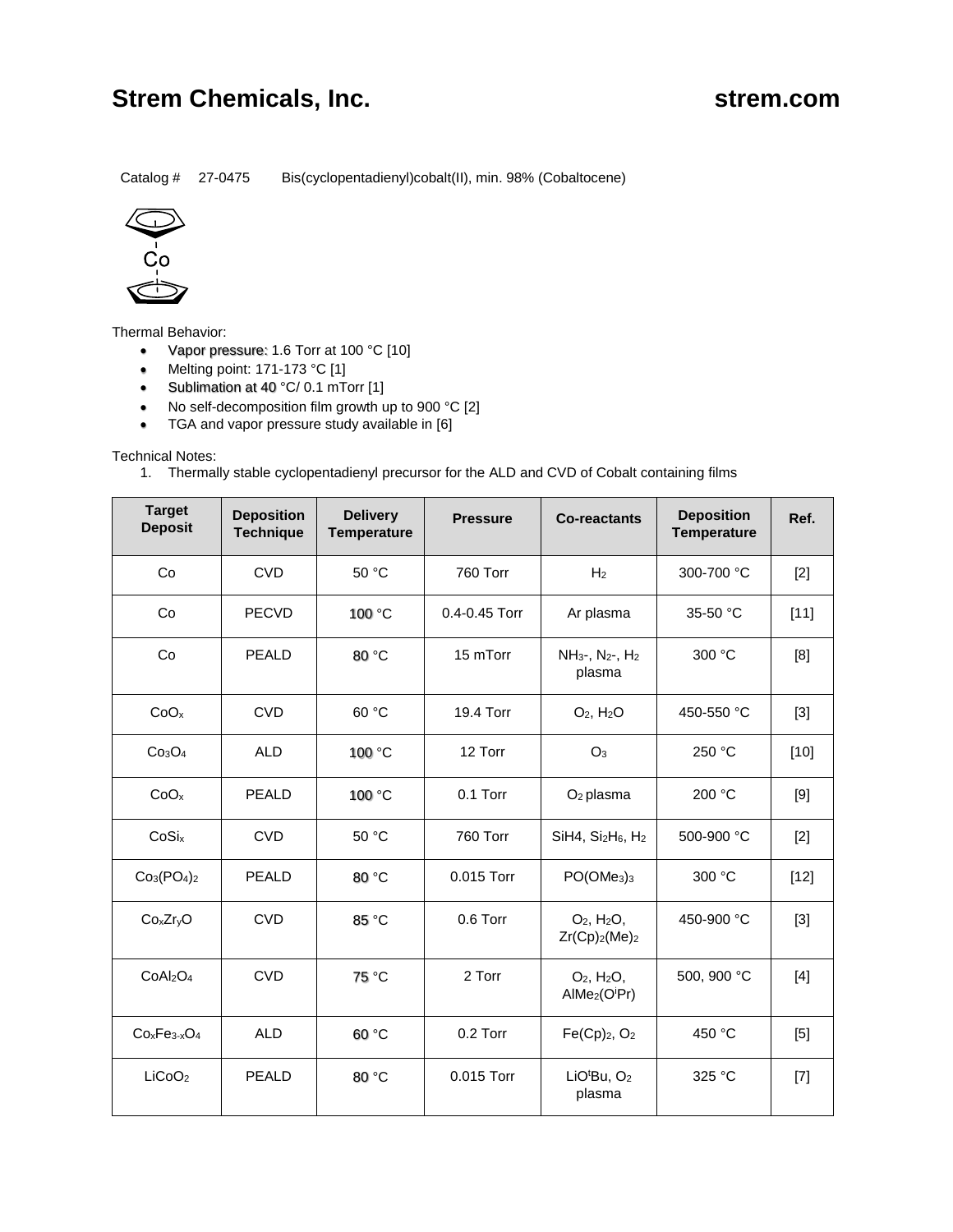## **Strem Chemicals, Inc. Strem.com Strem.com**

Catalog # 27-0475 Bis(cyclopentadienyl)cobalt(II), min. 98% (Cobaltocene)



Thermal Behavior:

- Vapor pressure: 1.6 Torr at 100 °C [10]
- Melting point:  $171-173$  °C  $[1]$
- Sublimation at 40 °C/ 0.1 mTorr [1]
- No self-decomposition film growth up to 900 °C [2]
- TGA and vapor pressure study available in [6]

Technical Notes:

1. Thermally stable cyclopentadienyl precursor for the ALD and CVD of Cobalt containing films

| <b>Target</b><br><b>Deposit</b>   | <b>Deposition</b><br><b>Technique</b> | <b>Delivery</b><br><b>Temperature</b> | <b>Pressure</b> | <b>Co-reactants</b>                                                           | <b>Deposition</b><br><b>Temperature</b> | Ref.   |
|-----------------------------------|---------------------------------------|---------------------------------------|-----------------|-------------------------------------------------------------------------------|-----------------------------------------|--------|
| Co                                | <b>CVD</b>                            | 50 °C                                 | <b>760 Torr</b> | H <sub>2</sub>                                                                | 300-700 °C                              | $[2]$  |
| Co                                | <b>PECVD</b>                          | 100 °C                                | 0.4-0.45 Torr   | Ar plasma                                                                     | 35-50 °C                                | [11]   |
| Co                                | <b>PEALD</b>                          | 80 °C                                 | 15 mTorr        | NH <sub>3</sub> -, N <sub>2</sub> -, H <sub>2</sub><br>plasma                 | 300 °C                                  | [8]    |
| CoO <sub>x</sub>                  | <b>CVD</b>                            | 60 °C                                 | 19.4 Torr       | $O2$ , $H2O$                                                                  | 450-550 °C                              | $[3]$  |
| Co <sub>3</sub> O <sub>4</sub>    | <b>ALD</b>                            | 100 °C                                | 12 Torr         | O <sub>3</sub>                                                                | 250 °C                                  | $[10]$ |
| CoO <sub>x</sub>                  | <b>PEALD</b>                          | 100 °C                                | 0.1 Torr        | O <sub>2</sub> plasma                                                         | 200 °C                                  | [9]    |
| CoSix                             | <b>CVD</b>                            | 50 °C                                 | <b>760 Torr</b> | $SiH4$ , $Si2H6$ , $H2$                                                       | 500-900 °C                              | $[2]$  |
| $Co3(PO4)2$                       | <b>PEALD</b>                          | 80 °C                                 | 0.015 Torr      | PO(OMe <sub>3</sub> ) <sub>3</sub>                                            | 300 °C                                  | $[12]$ |
| Co <sub>x</sub> Zr <sub>y</sub> O | <b>CVD</b>                            | 85 °C                                 | 0.6 Torr        | $O2$ , H <sub>2</sub> O <sub>,</sub><br>$Zr(Cp)_{2}(Me)_{2}$                  | 450-900 °C                              | $[3]$  |
| CoAl <sub>2</sub> O <sub>4</sub>  | <b>CVD</b>                            | 75 °C                                 | 2 Torr          | $O2$ , H <sub>2</sub> O <sub>,</sub><br>AlMe <sub>2</sub> (O <sup>i</sup> Pr) | 500, 900 °C                             | $[4]$  |
| $CoxFe3-xO4$                      | <b>ALD</b>                            | 60 °C                                 | 0.2 Torr        | Fe(Cp) <sub>2</sub> , O <sub>2</sub>                                          | 450 °C                                  | [5]    |
| LiCoO <sub>2</sub>                | <b>PEALD</b>                          | 80 °C                                 | 0.015 Torr      | LiO <sup>t</sup> Bu, O <sub>2</sub><br>plasma                                 | 325 °C                                  | $[7]$  |